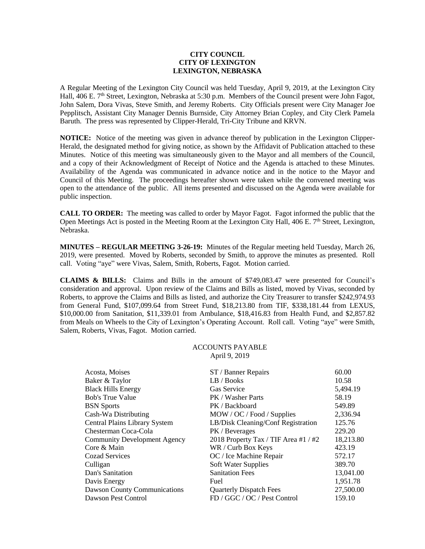## **CITY COUNCIL CITY OF LEXINGTON LEXINGTON, NEBRASKA**

A Regular Meeting of the Lexington City Council was held Tuesday, April 9, 2019, at the Lexington City Hall, 406 E. 7<sup>th</sup> Street, Lexington, Nebraska at 5:30 p.m. Members of the Council present were John Fagot, John Salem, Dora Vivas, Steve Smith, and Jeremy Roberts. City Officials present were City Manager Joe Pepplitsch, Assistant City Manager Dennis Burnside, City Attorney Brian Copley, and City Clerk Pamela Baruth. The press was represented by Clipper-Herald, Tri-City Tribune and KRVN.

**NOTICE:** Notice of the meeting was given in advance thereof by publication in the Lexington Clipper-Herald, the designated method for giving notice, as shown by the Affidavit of Publication attached to these Minutes. Notice of this meeting was simultaneously given to the Mayor and all members of the Council, and a copy of their Acknowledgment of Receipt of Notice and the Agenda is attached to these Minutes. Availability of the Agenda was communicated in advance notice and in the notice to the Mayor and Council of this Meeting. The proceedings hereafter shown were taken while the convened meeting was open to the attendance of the public. All items presented and discussed on the Agenda were available for public inspection.

**CALL TO ORDER:** The meeting was called to order by Mayor Fagot. Fagot informed the public that the Open Meetings Act is posted in the Meeting Room at the Lexington City Hall, 406 E. 7<sup>th</sup> Street, Lexington, Nebraska.

**MINUTES – REGULAR MEETING 3-26-19:** Minutes of the Regular meeting held Tuesday, March 26, 2019, were presented. Moved by Roberts, seconded by Smith, to approve the minutes as presented. Roll call. Voting "aye" were Vivas, Salem, Smith, Roberts, Fagot. Motion carried.

**CLAIMS & BILLS:** Claims and Bills in the amount of \$749,083.47 were presented for Council's consideration and approval. Upon review of the Claims and Bills as listed, moved by Vivas, seconded by Roberts, to approve the Claims and Bills as listed, and authorize the City Treasurer to transfer \$242,974.93 from General Fund, \$107,099.64 from Street Fund, \$18,213.80 from TIF, \$338,181.44 from LEXUS, \$10,000.00 from Sanitation, \$11,339.01 from Ambulance, \$18,416.83 from Health Fund, and \$2,857.82 from Meals on Wheels to the City of Lexington's Operating Account. Roll call. Voting "aye" were Smith, Salem, Roberts, Vivas, Fagot. Motion carried.

## ACCOUNTS PAYABLE April 9, 2019

| Acosta, Moises                       | ST / Banner Repairs                  | 60.00     |
|--------------------------------------|--------------------------------------|-----------|
| Baker & Taylor                       | LB / Books                           | 10.58     |
| <b>Black Hills Energy</b>            | <b>Gas Service</b>                   | 5,494.19  |
| <b>Bob's True Value</b>              | PK / Washer Parts                    | 58.19     |
| <b>BSN</b> Sports                    | PK / Backboard                       | 549.89    |
| Cash-Wa Distributing                 | MOW / OC / Food / Supplies           | 2,336.94  |
| <b>Central Plains Library System</b> | LB/Disk Cleaning/Conf Registration   | 125.76    |
| Chesterman Coca-Cola                 | PK / Beverages                       | 229.20    |
| <b>Community Development Agency</b>  | 2018 Property Tax / TIF Area #1 / #2 | 18,213.80 |
| Core & Main                          | WR / Curb Box Keys                   | 423.19    |
| <b>Cozad Services</b>                | OC / Ice Machine Repair              | 572.17    |
| Culligan                             | Soft Water Supplies                  | 389.70    |
| Dan's Sanitation                     | <b>Sanitation Fees</b>               | 13,041.00 |
| Davis Energy                         | Fuel                                 | 1,951.78  |
| Dawson County Communications         | <b>Quarterly Dispatch Fees</b>       | 27,500.00 |
| Dawson Pest Control                  | FD / GGC / OC / Pest Control         | 159.10    |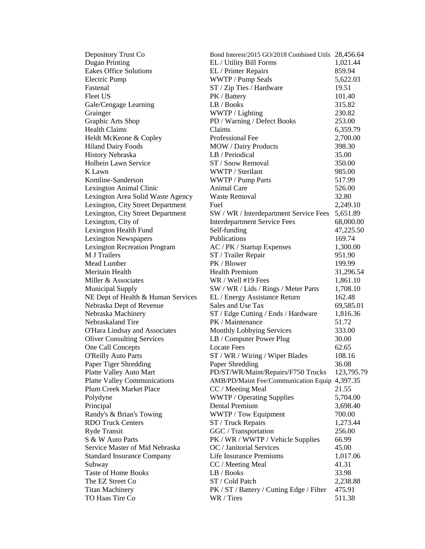| Depository Trust Co                 | Bond Interest/2015 GO/2018 Combined Utils 28,456.64 |            |
|-------------------------------------|-----------------------------------------------------|------------|
| Dugan Printing                      | EL / Utility Bill Forms                             | 1,021.44   |
| <b>Eakes Office Solutions</b>       | EL / Printer Repairs                                | 859.94     |
| <b>Electric Pump</b>                | WWTP / Pump Seals                                   | 5,622.03   |
| Fastenal                            | ST / Zip Ties / Hardware                            | 19.51      |
| <b>Fleet US</b>                     | PK / Battery                                        | 101.40     |
| Gale/Cengage Learning               | LB / Books                                          | 315.82     |
| Grainger                            | WWTP / Lighting                                     | 230.82     |
| Graphic Arts Shop                   | PD / Warning / Defect Books                         | 253.00     |
| <b>Health Claims</b>                | Claims                                              | 6,359.79   |
| Heldt McKeone & Copley              | Professional Fee                                    | 2,700.00   |
| <b>Hiland Dairy Foods</b>           | <b>MOW</b> / Dairy Products                         | 398.30     |
| <b>History Nebraska</b>             | LB / Periodical                                     | 35.00      |
| Holbein Lawn Service                | ST / Snow Removal                                   | 350.00     |
| K Lawn                              | WWTP / Sterilant                                    | 985.00     |
| Komline-Sanderson                   | WWTP / Pump Parts                                   | 517.99     |
| Lexington Animal Clinic             | Animal Care                                         | 526.00     |
| Lexington Area Solid Waste Agency   | <b>Waste Removal</b>                                | 32.80      |
| Lexington, City Street Department   | Fuel                                                | 2,249.10   |
| Lexington, City Street Department   | SW / WR / Interdepartment Service Fees              | 5,651.89   |
| Lexington, City of                  | <b>Interdepartment Service Fees</b>                 | 68,000.00  |
| Lexington Health Fund               | Self-funding                                        | 47,225.50  |
| <b>Lexington Newspapers</b>         | Publications                                        | 169.74     |
| <b>Lexington Recreation Program</b> | AC / PK / Startup Expenses                          | 1,300.00   |
| M J Trailers                        | ST / Trailer Repair                                 | 951.90     |
| Mead Lumber                         | PK / Blower                                         | 199.99     |
| Meritain Health                     | <b>Health Premium</b>                               | 31,296.54  |
| Miller & Associates                 | WR / Well #19 Fees                                  | 1,861.10   |
| <b>Municipal Supply</b>             | SW / WR / Lids / Rings / Meter Parts                | 1,708.10   |
| NE Dept of Health & Human Services  | EL / Energy Assistance Return                       | 162.48     |
| Nebraska Dept of Revenue            | Sales and Use Tax                                   | 69,585.01  |
| Nebraska Machinery                  | ST / Edge Cutting / Ends / Hardware                 | 1,816.36   |
| Nebraskaland Tire                   | PK / Maintenance                                    | 51.72      |
| O'Hara Lindsay and Associates       | Monthly Lobbying Services                           | 333.00     |
| <b>Oliver Consulting Services</b>   | LB / Computer Power Plug                            | 30.00      |
| One Call Concepts                   | <b>Locate Fees</b>                                  | 62.65      |
| <b>O'Reilly Auto Parts</b>          | ST / WR / Wiring / Wiper Blades                     | 108.16     |
| Paper Tiger Shredding               | Paper Shredding                                     | 36.08      |
| Platte Valley Auto Mart             | PD/ST/WR/Maint/Repairs/F750 Trucks                  | 123,795.79 |
| <b>Platte Valley Communications</b> | AMB/PD/Maint Fee/Communication Equip 4,397.35       |            |
| <b>Plum Creek Market Place</b>      | CC / Meeting Meal                                   | 21.55      |
| Polydyne                            | <b>WWTP</b> / Operating Supplies                    | 5,704.00   |
| Principal                           | Dental Premium                                      | 3,698.40   |
| Randy's & Brian's Towing            | WWTP / Tow Equipment                                | 700.00     |
| <b>RDO Truck Centers</b>            | ST / Truck Repairs                                  | 1,273.44   |
| <b>Ryde Transit</b>                 | GGC / Transportation                                | 256.00     |
| S & W Auto Parts                    | PK / WR / WWTP / Vehicle Supplies                   | 66.99      |
| Service Master of Mid Nebraska      | OC / Janitorial Services                            | 45.00      |
| <b>Standard Insurance Company</b>   | Life Insurance Premiums                             | 1,017.06   |
| Subway                              | CC / Meeting Meal                                   | 41.31      |
| <b>Taste of Home Books</b>          | LB / Books                                          | 33.98      |
| The EZ Street Co                    | ST / Cold Patch                                     | 2,238.88   |
| <b>Titan Machinery</b>              | PK / ST / Battery / Cutting Edge / Filter           | 475.91     |
| TO Haas Tire Co                     | WR / Tires                                          | 511.38     |
|                                     |                                                     |            |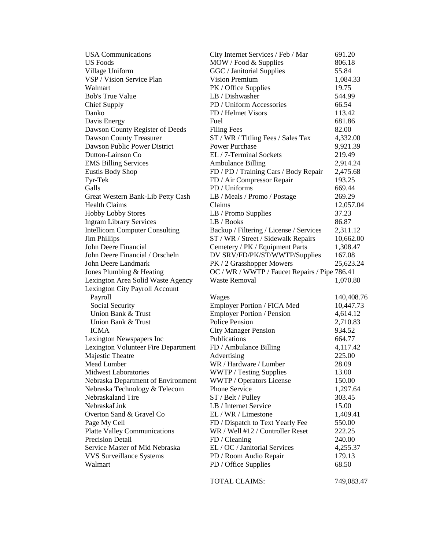| <b>USA Communications</b>             | City Internet Services / Feb / Mar            | 691.20     |
|---------------------------------------|-----------------------------------------------|------------|
| US Foods                              | MOW / Food & Supplies                         | 806.18     |
| Village Uniform                       | GGC / Janitorial Supplies                     | 55.84      |
| VSP / Vision Service Plan             | <b>Vision Premium</b>                         | 1,084.33   |
| Walmart                               | PK / Office Supplies                          | 19.75      |
| <b>Bob's True Value</b>               | LB / Dishwasher                               | 544.99     |
| <b>Chief Supply</b>                   | PD / Uniform Accessories                      | 66.54      |
| Danko                                 | FD / Helmet Visors                            | 113.42     |
| Davis Energy                          | Fuel                                          | 681.86     |
| Dawson County Register of Deeds       | <b>Filing Fees</b>                            | 82.00      |
| <b>Dawson County Treasurer</b>        | ST / WR / Titling Fees / Sales Tax            | 4,332.00   |
| Dawson Public Power District          | <b>Power Purchase</b>                         | 9,921.39   |
| Dutton-Lainson Co                     | EL / 7-Terminal Sockets                       | 219.49     |
| <b>EMS Billing Services</b>           | <b>Ambulance Billing</b>                      | 2,914.24   |
| Eustis Body Shop                      | FD / PD / Training Cars / Body Repair         | 2,475.68   |
| Fyr-Tek                               | FD / Air Compressor Repair                    | 193.25     |
| Galls                                 | PD / Uniforms                                 | 669.44     |
| Great Western Bank-Lib Petty Cash     | LB / Meals / Promo / Postage                  | 269.29     |
| <b>Health Claims</b>                  | Claims                                        | 12,057.04  |
| <b>Hobby Lobby Stores</b>             | LB / Promo Supplies                           | 37.23      |
| <b>Ingram Library Services</b>        | LB / Books                                    | 86.87      |
| <b>Intellicom Computer Consulting</b> | Backup / Filtering / License / Services       | 2,311.12   |
| <b>Jim Phillips</b>                   | ST / WR / Street / Sidewalk Repairs           | 10,662.00  |
| John Deere Financial                  | Cemetery / PK / Equipment Parts               | 1,308.47   |
| John Deere Financial / Orscheln       | DV SRV/FD/PK/ST/WWTP/Supplies                 | 167.08     |
| John Deere Landmark                   | PK / 2 Grasshopper Mowers                     | 25,623.24  |
| Jones Plumbing & Heating              | OC / WR / WWTP / Faucet Repairs / Pipe 786.41 |            |
| Lexington Area Solid Waste Agency     | <b>Waste Removal</b>                          | 1,070.80   |
| Lexington City Payroll Account        |                                               |            |
| Payroll                               | Wages                                         | 140,408.76 |
| Social Security                       | Employer Portion / FICA Med                   | 10,447.73  |
| Union Bank & Trust                    | <b>Employer Portion / Pension</b>             | 4,614.12   |
| Union Bank & Trust                    | <b>Police Pension</b>                         | 2,710.83   |
| <b>ICMA</b>                           | <b>City Manager Pension</b>                   | 934.52     |
| Lexington Newspapers Inc              | <b>Publications</b>                           | 664.77     |
| Lexington Volunteer Fire Department   | FD / Ambulance Billing                        | 4,117.42   |
| Majestic Theatre                      | Advertising                                   | 225.00     |
| Mead Lumber                           | WR / Hardware / Lumber                        | 28.09      |
| <b>Midwest Laboratories</b>           | <b>WWTP</b> / Testing Supplies                | 13.00      |
| Nebraska Department of Environment    | WWTP / Operators License                      | 150.00     |
| Nebraska Technology & Telecom         | Phone Service                                 | 1,297.64   |
| Nebraskaland Tire                     | ST / Belt / Pulley                            | 303.45     |
| NebraskaLink                          | LB / Internet Service                         | 15.00      |
| Overton Sand & Gravel Co              | EL / WR / Limestone                           | 1,409.41   |
| Page My Cell                          | FD / Dispatch to Text Yearly Fee              | 550.00     |
| <b>Platte Valley Communications</b>   | WR / Well #12 / Controller Reset              | 222.25     |
| <b>Precision Detail</b>               | FD / Cleaning                                 | 240.00     |
| Service Master of Mid Nebraska        | EL / OC / Janitorial Services                 | 4,255.37   |
| <b>VVS Surveillance Systems</b>       | PD / Room Audio Repair                        | 179.13     |
| Walmart                               | PD / Office Supplies                          | 68.50      |
|                                       |                                               |            |

TOTAL CLAIMS: 749,083.47